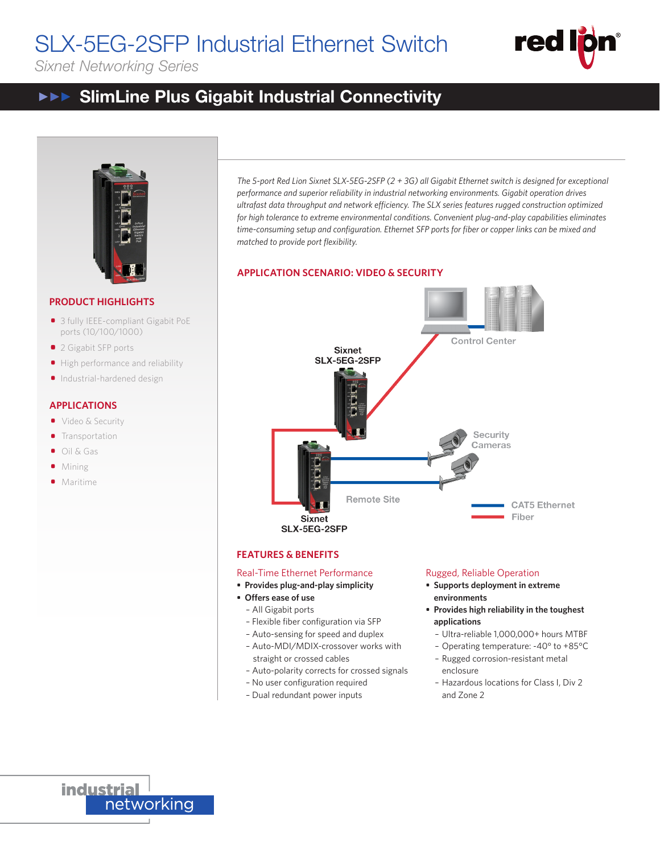# SLX-5EG-2SFP Industrial Ethernet Switch



## *Sixnet Networking Series*

#### DATASHEET  $\blacktriangleright \blacktriangleright \blacktriangleright$ SlimLine Plus Gigabit Industrial Connectivity **Suit Industrial Connectivity**



## **PRODUCT HIGHLIGHTS**

- 3 fully IEEE-compliant Gigabit PoE ports (10/100/1000)
- 2 Gigabit SFP ports
- High performance and reliability
- Industrial-hardened design

## **APPLICATIONS**

- Video & Security
- **Transportation**
- Oil & Gas
- Mining
- **•** Maritime

*The 5-port Red Lion Sixnet SLX-5EG-2SFP (2 + 3G) all Gigabit Ethernet switch is designed for exceptional performance and superior reliability in industrial networking environments. Gigabit operation drives ultrafast data throughput and network efficiency. The SLX series features rugged construction optimized for high tolerance to extreme environmental conditions. Convenient plug-and-play capabilities eliminates time-consuming setup and configuration. Ethernet SFP ports for fiber or copper links can be mixed and matched to provide port flexibility.*

## **APPLICATION SCENARIO: VIDEO & SECURITY**



## **FEATURES & BENEFITS**

## Real-Time Ethernet Performance

- **• Provides plug-and-play simplicity**
- **• Offers ease of use**
	- All Gigabit ports
	- Flexible fiber configuration via SFP
	- Auto-sensing for speed and duplex
	- Auto-MDI/MDIX-crossover works with straight or crossed cables
	- Auto-polarity corrects for crossed signals
	- No user configuration required
	- Dual redundant power inputs

## Rugged, Reliable Operation

- **• Supports deployment in extreme environments**
- **• Provides high reliability in the toughest applications**
	- Ultra-reliable 1,000,000+ hours MTBF
	- Operating temperature: -40° to +85°C
	- Rugged corrosion-resistant metal enclosure
	- Hazardous locations for Class I, Div 2 and Zone 2

**industrial** networking